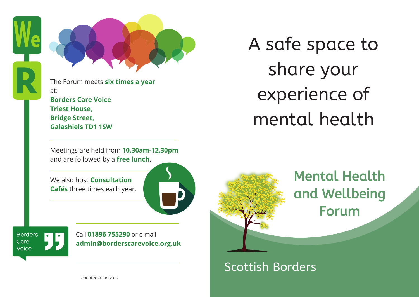



The Forum meets **six times a year** at: **Borders Care Voice**

**Triest House, Bridge Street, Galashiels TD1 1SW**

Meetings are held from **10.30am-12.30pm** and are followed by a **free lunch**.

We also host **Consultation Cafés** three times each year.



**Borders** Care Voice

Call **01896 755290** or e-mail **admin@borderscarevoice.org.uk** A safe space to share your experience of mental health



**Mental Health** and Wellbeing **Forum** 

# Scottish Borders

Updated June 2022